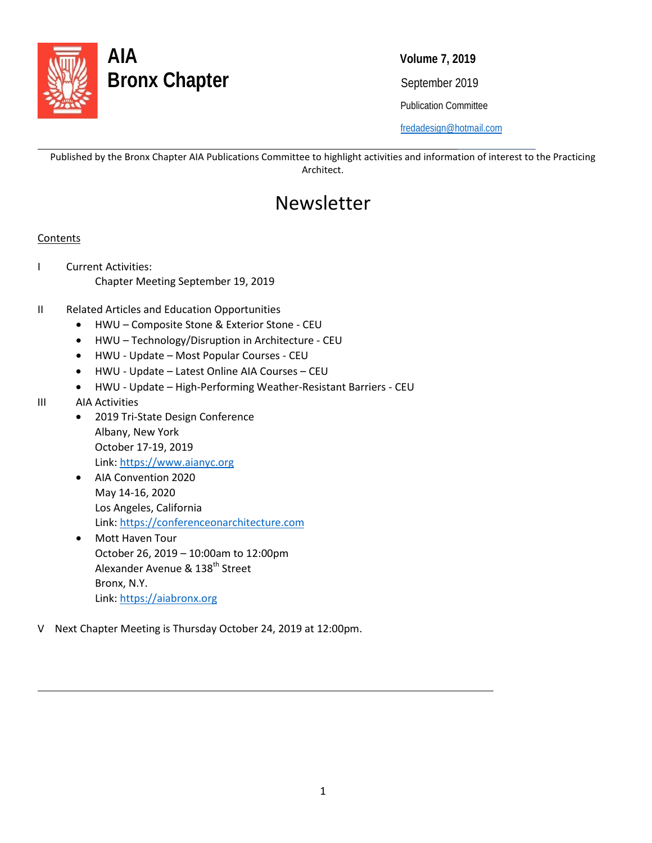

Publication Committee

[fredadesign@hotmail.com](mailto:fredadesign@hotmail.com)

Published by the Bronx Chapter AIA Publications Committee to highlight activities and information of interest to the Practicing Architect.

### Newsletter

#### **Contents**

l

- I Current Activities: Chapter Meeting September 19, 2019
- II Related Articles and Education Opportunities
	- HWU Composite Stone & Exterior Stone CEU
	- HWU Technology/Disruption in Architecture CEU
	- HWU Update Most Popular Courses CEU
	- HWU Update Latest Online AIA Courses CEU
	- HWU Update High-Performing Weather-Resistant Barriers CEU
- III AIA Activities

 $\overline{\phantom{0}}$ 

- 2019 Tri-State Design Conference Albany, New York October 17-19, 2019 Link: [https://www.aianyc.org](https://www.aianyc.org/)
- AIA Convention 2020 May 14-16, 2020 Los Angeles, California Link: [https://conferenceonarchitecture.com](https://conferenceonarchitecture.com/)
- Mott Haven Tour October 26, 2019 – 10:00am to 12:00pm Alexander Avenue & 138<sup>th</sup> Street Bronx, N.Y. Link[: https://aiabronx.org](https://aiabronx.org/)
- V Next Chapter Meeting is Thursday October 24, 2019 at 12:00pm.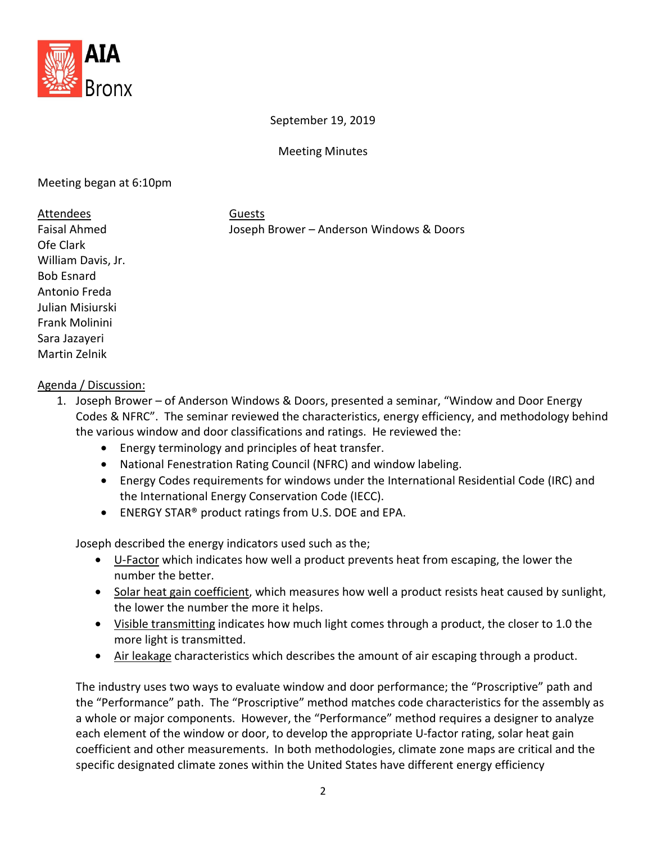

September 19, 2019

Meeting Minutes

#### Meeting began at 6:10pm

#### Attendees Guests

Faisal Ahmed Joseph Brower – Anderson Windows & Doors

Ofe Clark William Davis, Jr. Bob Esnard Antonio Freda Julian Misiurski Frank Molinini Sara Jazayeri Martin Zelnik

#### Agenda / Discussion:

- 1. Joseph Brower of Anderson Windows & Doors, presented a seminar, "Window and Door Energy Codes & NFRC". The seminar reviewed the characteristics, energy efficiency, and methodology behind the various window and door classifications and ratings. He reviewed the:
	- Energy terminology and principles of heat transfer.
	- National Fenestration Rating Council (NFRC) and window labeling.
	- Energy Codes requirements for windows under the International Residential Code (IRC) and the International Energy Conservation Code (IECC).
	- ENERGY STAR<sup>®</sup> product ratings from U.S. DOE and EPA.

Joseph described the energy indicators used such as the;

- U-Factor which indicates how well a product prevents heat from escaping, the lower the number the better.
- Solar heat gain coefficient, which measures how well a product resists heat caused by sunlight, the lower the number the more it helps.
- Visible transmitting indicates how much light comes through a product, the closer to 1.0 the more light is transmitted.
- Air leakage characteristics which describes the amount of air escaping through a product.

The industry uses two ways to evaluate window and door performance; the "Proscriptive" path and the "Performance" path. The "Proscriptive" method matches code characteristics for the assembly as a whole or major components. However, the "Performance" method requires a designer to analyze each element of the window or door, to develop the appropriate U-factor rating, solar heat gain coefficient and other measurements. In both methodologies, climate zone maps are critical and the specific designated climate zones within the United States have different energy efficiency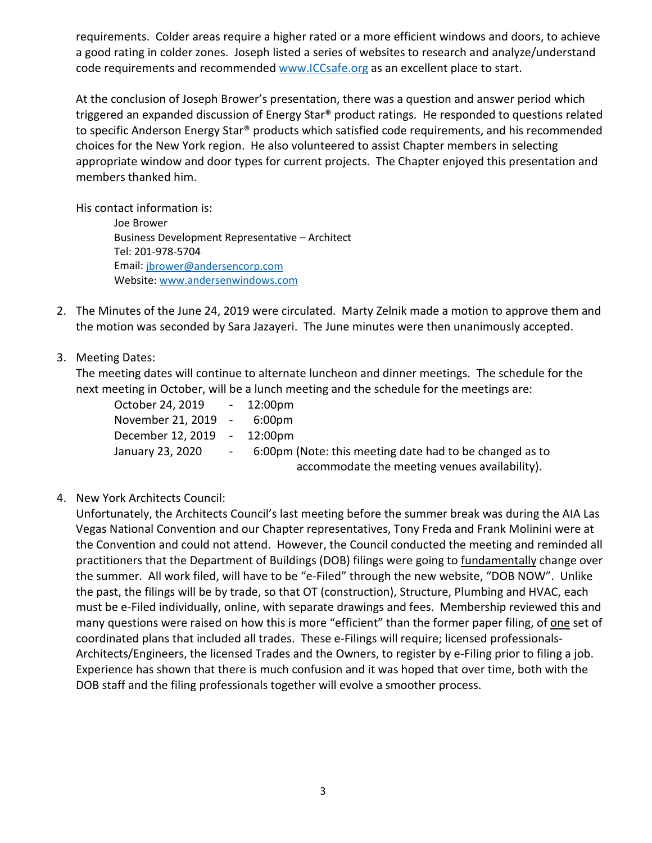requirements. Colder areas require a higher rated or a more efficient windows and doors, to achieve a good rating in colder zones. Joseph listed a series of websites to research and analyze/understand code requirements and recommended [www.ICCsafe.org](http://www.iccsafe.org/) as an excellent place to start.

At the conclusion of Joseph Brower's presentation, there was a question and answer period which triggered an expanded discussion of Energy Star® product ratings. He responded to questions related to specific Anderson Energy Star<sup>®</sup> products which satisfied code requirements, and his recommended choices for the New York region. He also volunteered to assist Chapter members in selecting appropriate window and door types for current projects. The Chapter enjoyed this presentation and members thanked him.

His contact information is:

Joe Brower Business Development Representative – Architect Tel: 201-978-5704 Email: [jbrower@andersencorp.com](mailto:jbrower@andersencorp.com) Website: [www.andersenwindows.com](http://www.andersenwindows.com/)

- 2. The Minutes of the June 24, 2019 were circulated. Marty Zelnik made a motion to approve them and the motion was seconded by Sara Jazayeri. The June minutes were then unanimously accepted.
- 3. Meeting Dates:

The meeting dates will continue to alternate luncheon and dinner meetings. The schedule for the next meeting in October, will be a lunch meeting and the schedule for the meetings are:

| October 24, 2019 - 12:00pm  |                  |                                                         |
|-----------------------------|------------------|---------------------------------------------------------|
| November 21, 2019 - 6:00pm  |                  |                                                         |
| December 12, 2019 - 12:00pm |                  |                                                         |
| January 23, 2020            | and the contract | 6:00pm (Note: this meeting date had to be changed as to |
|                             |                  | accommodate the meeting venues availability).           |

4. New York Architects Council:

Unfortunately, the Architects Council's last meeting before the summer break was during the AIA Las Vegas National Convention and our Chapter representatives, Tony Freda and Frank Molinini were at the Convention and could not attend. However, the Council conducted the meeting and reminded all practitioners that the Department of Buildings (DOB) filings were going to fundamentally change over the summer. All work filed, will have to be "e-Filed" through the new website, "DOB NOW". Unlike the past, the filings will be by trade, so that OT (construction), Structure, Plumbing and HVAC, each must be e-Filed individually, online, with separate drawings and fees. Membership reviewed this and many questions were raised on how this is more "efficient" than the former paper filing, of one set of coordinated plans that included all trades. These e-Filings will require; licensed professionals-Architects/Engineers, the licensed Trades and the Owners, to register by e-Filing prior to filing a job. Experience has shown that there is much confusion and it was hoped that over time, both with the DOB staff and the filing professionals together will evolve a smoother process.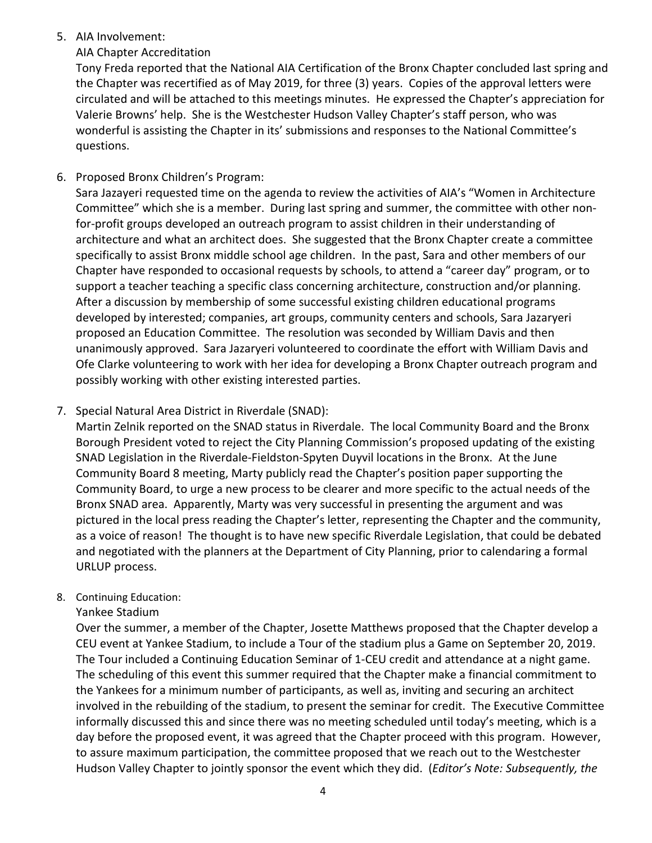#### 5. AIA Involvement:

#### AIA Chapter Accreditation

Tony Freda reported that the National AIA Certification of the Bronx Chapter concluded last spring and the Chapter was recertified as of May 2019, for three (3) years. Copies of the approval letters were circulated and will be attached to this meetings minutes. He expressed the Chapter's appreciation for Valerie Browns' help. She is the Westchester Hudson Valley Chapter's staff person, who was wonderful is assisting the Chapter in its' submissions and responses to the National Committee's questions.

6. Proposed Bronx Children's Program:

Sara Jazayeri requested time on the agenda to review the activities of AIA's "Women in Architecture Committee" which she is a member. During last spring and summer, the committee with other nonfor-profit groups developed an outreach program to assist children in their understanding of architecture and what an architect does. She suggested that the Bronx Chapter create a committee specifically to assist Bronx middle school age children. In the past, Sara and other members of our Chapter have responded to occasional requests by schools, to attend a "career day" program, or to support a teacher teaching a specific class concerning architecture, construction and/or planning. After a discussion by membership of some successful existing children educational programs developed by interested; companies, art groups, community centers and schools, Sara Jazaryeri proposed an Education Committee. The resolution was seconded by William Davis and then unanimously approved. Sara Jazaryeri volunteered to coordinate the effort with William Davis and Ofe Clarke volunteering to work with her idea for developing a Bronx Chapter outreach program and possibly working with other existing interested parties.

7. Special Natural Area District in Riverdale (SNAD):

Martin Zelnik reported on the SNAD status in Riverdale. The local Community Board and the Bronx Borough President voted to reject the City Planning Commission's proposed updating of the existing SNAD Legislation in the Riverdale-Fieldston-Spyten Duyvil locations in the Bronx. At the June Community Board 8 meeting, Marty publicly read the Chapter's position paper supporting the Community Board, to urge a new process to be clearer and more specific to the actual needs of the Bronx SNAD area. Apparently, Marty was very successful in presenting the argument and was pictured in the local press reading the Chapter's letter, representing the Chapter and the community, as a voice of reason! The thought is to have new specific Riverdale Legislation, that could be debated and negotiated with the planners at the Department of City Planning, prior to calendaring a formal URLUP process.

#### 8. Continuing Education:

#### Yankee Stadium

Over the summer, a member of the Chapter, Josette Matthews proposed that the Chapter develop a CEU event at Yankee Stadium, to include a Tour of the stadium plus a Game on September 20, 2019. The Tour included a Continuing Education Seminar of 1-CEU credit and attendance at a night game. The scheduling of this event this summer required that the Chapter make a financial commitment to the Yankees for a minimum number of participants, as well as, inviting and securing an architect involved in the rebuilding of the stadium, to present the seminar for credit. The Executive Committee informally discussed this and since there was no meeting scheduled until today's meeting, which is a day before the proposed event, it was agreed that the Chapter proceed with this program. However, to assure maximum participation, the committee proposed that we reach out to the Westchester Hudson Valley Chapter to jointly sponsor the event which they did. (*Editor's Note: Subsequently, the*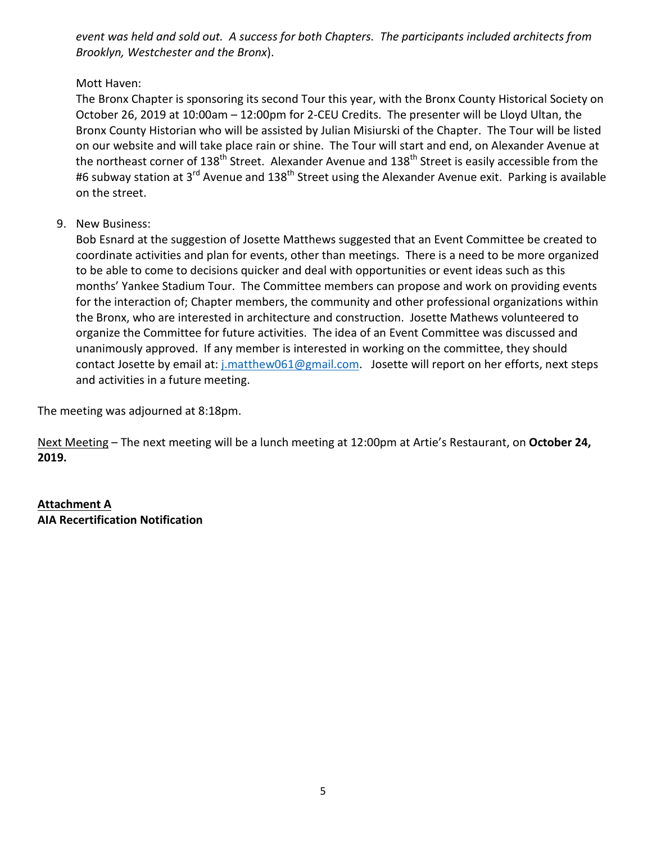*event was held and sold out. A success for both Chapters. The participants included architects from Brooklyn, Westchester and the Bronx*).

Mott Haven:

The Bronx Chapter is sponsoring its second Tour this year, with the Bronx County Historical Society on October 26, 2019 at 10:00am – 12:00pm for 2-CEU Credits. The presenter will be Lloyd Ultan, the Bronx County Historian who will be assisted by Julian Misiurski of the Chapter. The Tour will be listed on our website and will take place rain or shine. The Tour will start and end, on Alexander Avenue at the northeast corner of 138<sup>th</sup> Street. Alexander Avenue and 138<sup>th</sup> Street is easily accessible from the #6 subway station at 3<sup>rd</sup> Avenue and 138<sup>th</sup> Street using the Alexander Avenue exit. Parking is available on the street.

9. New Business:

Bob Esnard at the suggestion of Josette Matthews suggested that an Event Committee be created to coordinate activities and plan for events, other than meetings. There is a need to be more organized to be able to come to decisions quicker and deal with opportunities or event ideas such as this months' Yankee Stadium Tour. The Committee members can propose and work on providing events for the interaction of; Chapter members, the community and other professional organizations within the Bronx, who are interested in architecture and construction. Josette Mathews volunteered to organize the Committee for future activities. The idea of an Event Committee was discussed and unanimously approved. If any member is interested in working on the committee, they should contact Josette by email at: [j.matthew061@gmail.com.](mailto:j.matthew061@gmail.com) Josette will report on her efforts, next steps and activities in a future meeting.

The meeting was adjourned at 8:18pm.

Next Meeting – The next meeting will be a lunch meeting at 12:00pm at Artie's Restaurant, on **October 24, 2019.**

**AIA Recertification Notification Attachment A**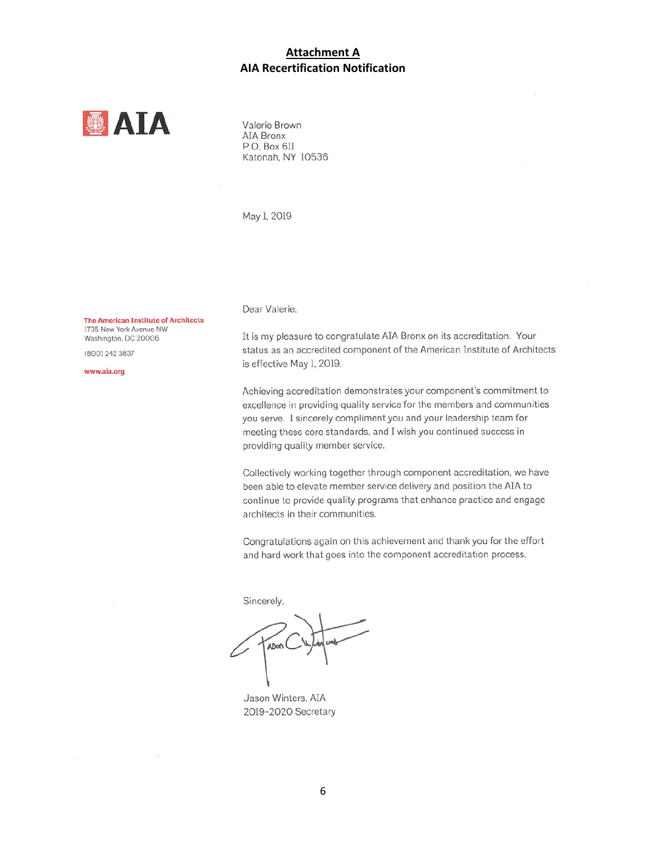#### **Attachment A AIA Recertification Notification**



Valerie Brown AIA Bronx P.O. Box 611 Katonah, NY 10536

May 1, 2019

The American Institute of Architects 1735 New York Avenue NW Washington, DC 20006

(800) 242 3837

www.aia.org

Dear Valerie.

It is my pleasure to congratulate AIA Bronx on its accreditation. Your status as an accredited component of the American Institute of Architects is effective May 1, 2019.

Achieving accreditation demonstrates your component's commitment to excellence in providing quality service for the members and communities you serve. I sincerely compliment you and your leadership team for meeting these core standards, and I wish you continued success in providing quality member service.

Collectively working together through component accreditation, we have been able to elevate member service delivery and position the AIA to continue to provide quality programs that enhance practice and engage architects in their communities.

Congratulations again on this achievement and thank you for the effort and hard work that goes into the component accreditation process.

Sincerely,

ADUN

Jason Winters, AIA 2019-2020 Secretary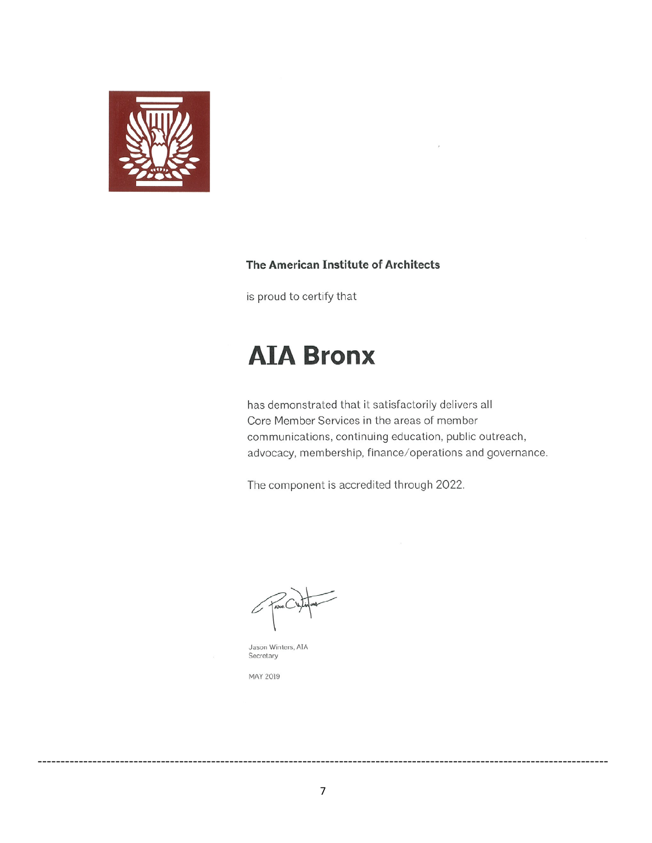

#### The American Institute of Architects

is proud to certify that

# **AIA Bronx**

has demonstrated that it satisfactorily delivers all Core Member Services in the areas of member communications, continuing education, public outreach, advocacy, membership, finance/operations and governance.

The component is accredited through 2022.

Jason Winters, AIA Secretary

MAY 2019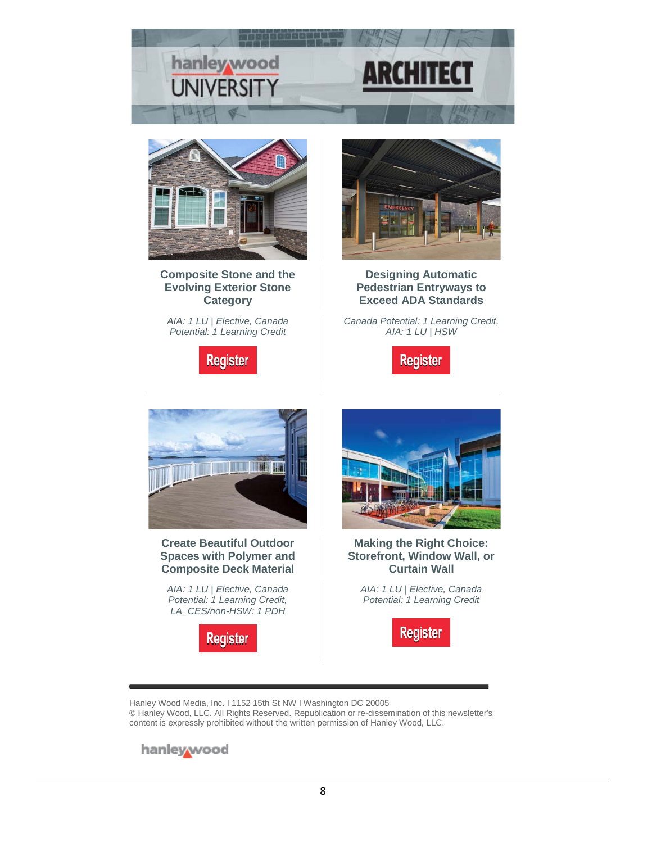



**[Composite Stone and the](https://linkprotect.cudasvc.com/url?a=http%3a%2f%2fclick1.e.hanleywood-media.com%2fxhsnjhkcdvbtsbphtplbhtkbbktbvspnydrdqyjvpvpdb_lgkjkqzrmjnhjmqmjj.html%3fa%3dbesnard%2540dzco.com%26b%3dHWU_EBMGHWUN721155_Update_Newsletter_092619%2b%2b&c=E,1,aicLbKuwRJK91HnrzkaF7xjXcGPfzabVxBBnqu0ZeZC1N07HNzkZdoNWYTB_hnXDteJpmRKzDqIOhXkimXHF-uka_bF1uQ9-qfFEUOmzU3Mjiab-SYm13g,,&typo=1)  [Evolving Exterior Stone](https://linkprotect.cudasvc.com/url?a=http%3a%2f%2fclick1.e.hanleywood-media.com%2fxhsnjhkcdvbtsbphtplbhtkbbktbvspnydrdqyjvpvpdb_lgkjkqzrmjnhjmqmjj.html%3fa%3dbesnard%2540dzco.com%26b%3dHWU_EBMGHWUN721155_Update_Newsletter_092619%2b%2b&c=E,1,aicLbKuwRJK91HnrzkaF7xjXcGPfzabVxBBnqu0ZeZC1N07HNzkZdoNWYTB_hnXDteJpmRKzDqIOhXkimXHF-uka_bF1uQ9-qfFEUOmzU3Mjiab-SYm13g,,&typo=1)  [Category](https://linkprotect.cudasvc.com/url?a=http%3a%2f%2fclick1.e.hanleywood-media.com%2fxhsnjhkcdvbtsbphtplbhtkbbktbvspnydrdqyjvpvpdb_lgkjkqzrmjnhjmqmjj.html%3fa%3dbesnard%2540dzco.com%26b%3dHWU_EBMGHWUN721155_Update_Newsletter_092619%2b%2b&c=E,1,aicLbKuwRJK91HnrzkaF7xjXcGPfzabVxBBnqu0ZeZC1N07HNzkZdoNWYTB_hnXDteJpmRKzDqIOhXkimXHF-uka_bF1uQ9-qfFEUOmzU3Mjiab-SYm13g,,&typo=1)**

*AIA: 1 LU | Elective, Canada Potential: 1 Learning Credit*

**Register** 



**[Designing Automatic](https://linkprotect.cudasvc.com/url?a=http%3a%2f%2fclick1.e.hanleywood-media.com%2fggrjlgsmcytdntkgdkqtgdsttsdtynkjfcrcpflykykcm_lgkjkqzrmjnhjmqmjj.html%3fa%3dbesnard%2540dzco.com%26b%3dHWU_EBMGHWUN721155_Update_Newsletter_092619%2b%2b&c=E,1,MMp0iZEo6KUnlLUw_LxkoYTKB61PxonlRivaDMu9v4UgvPmrGm1BxDnodqL8T_RhrjbJtZQzGSvM_PV2Y-YKR3YvrNp3V3hiQstgmDnsSqpxCELc2d0,&typo=1)  [Pedestrian Entryways to](https://linkprotect.cudasvc.com/url?a=http%3a%2f%2fclick1.e.hanleywood-media.com%2fggrjlgsmcytdntkgdkqtgdsttsdtynkjfcrcpflykykcm_lgkjkqzrmjnhjmqmjj.html%3fa%3dbesnard%2540dzco.com%26b%3dHWU_EBMGHWUN721155_Update_Newsletter_092619%2b%2b&c=E,1,MMp0iZEo6KUnlLUw_LxkoYTKB61PxonlRivaDMu9v4UgvPmrGm1BxDnodqL8T_RhrjbJtZQzGSvM_PV2Y-YKR3YvrNp3V3hiQstgmDnsSqpxCELc2d0,&typo=1)  [Exceed ADA Standards](https://linkprotect.cudasvc.com/url?a=http%3a%2f%2fclick1.e.hanleywood-media.com%2fggrjlgsmcytdntkgdkqtgdsttsdtynkjfcrcpflykykcm_lgkjkqzrmjnhjmqmjj.html%3fa%3dbesnard%2540dzco.com%26b%3dHWU_EBMGHWUN721155_Update_Newsletter_092619%2b%2b&c=E,1,MMp0iZEo6KUnlLUw_LxkoYTKB61PxonlRivaDMu9v4UgvPmrGm1BxDnodqL8T_RhrjbJtZQzGSvM_PV2Y-YKR3YvrNp3V3hiQstgmDnsSqpxCELc2d0,&typo=1)**

*Canada Potential: 1 Learning Credit, AIA: 1 LU | HSW*





#### **[Create Beautiful Outdoor](https://linkprotect.cudasvc.com/url?a=http%3a%2f%2fclick1.e.hanleywood-media.com%2ffddcghtydsnwrnbhwbznhwtnntwnsrbcpdjdlpgsbsbss_lgkjkqzrmjnhjmqmjj.html%3fa%3dbesnard%2540dzco.com%26b%3dHWU_EBMGHWUN721155_Update_Newsletter_092619%2b%2b&c=E,1,kIw8mf-gJhoEjV0OGYWWyWTxkG55myPpsBfb_8VgqhamSVYtwTYoy3YlJr-qkn7cZqm5wpBx3CC_YArNHB93dseX1LXbZ0jA0kolZ0KkdUcsPnjnoOYaSg,,&typo=1)  [Spaces with Polymer and](https://linkprotect.cudasvc.com/url?a=http%3a%2f%2fclick1.e.hanleywood-media.com%2ffddcghtydsnwrnbhwbznhwtnntwnsrbcpdjdlpgsbsbss_lgkjkqzrmjnhjmqmjj.html%3fa%3dbesnard%2540dzco.com%26b%3dHWU_EBMGHWUN721155_Update_Newsletter_092619%2b%2b&c=E,1,kIw8mf-gJhoEjV0OGYWWyWTxkG55myPpsBfb_8VgqhamSVYtwTYoy3YlJr-qkn7cZqm5wpBx3CC_YArNHB93dseX1LXbZ0jA0kolZ0KkdUcsPnjnoOYaSg,,&typo=1)  [Composite Deck Material](https://linkprotect.cudasvc.com/url?a=http%3a%2f%2fclick1.e.hanleywood-media.com%2ffddcghtydsnwrnbhwbznhwtnntwnsrbcpdjdlpgsbsbss_lgkjkqzrmjnhjmqmjj.html%3fa%3dbesnard%2540dzco.com%26b%3dHWU_EBMGHWUN721155_Update_Newsletter_092619%2b%2b&c=E,1,kIw8mf-gJhoEjV0OGYWWyWTxkG55myPpsBfb_8VgqhamSVYtwTYoy3YlJr-qkn7cZqm5wpBx3CC_YArNHB93dseX1LXbZ0jA0kolZ0KkdUcsPnjnoOYaSg,,&typo=1)**

*AIA: 1 LU | Elective, Canada Potential: 1 Learning Credit, LA\_[CES/non-HSW: 1](https://linkprotect.cudasvc.com/url?a=http://click1.e.hanleywood-media.com/hvnlhbjfvqwzmwsbzsrwbzjwwjzwqmsldvcvpdhqsqsqb_lgkjkqzrmjnhjmqmjj.html?a=besnard%40dzco.com&b=HWU_EBMGHWUN721155_Update_Newsletter_092619++&c=E,1,1cVCJ6QZBukhX_1W8YWCDQqzLa6yQ5BbGJPxnWjeeDpCbpp_We_FbkopXZdCcd1pKfcjaLGcw8PeRhVz1rcOvs279M1X1pDg3p0QDDP3IpuniY4,&typo=1) PDH*





**[Making the Right Choice:](https://linkprotect.cudasvc.com/url?a=http%3a%2f%2fclick1.e.hanleywood-media.com%2fuymzpwvchqfsmfgwsgbfwsvffvsfqmgzjhnhkjpqgqgqn_lgkjkqzrmjnhjmqmjj.html%3fa%3dbesnard%2540dzco.com%26b%3dHWU_EBMGHWUN721155_Update_Newsletter_092619%2b%2b&c=E,1,2oDe_29EwcN5zs0CE9jEeVQpe5Y0NTzLigNAtj2MHPkKmwvd5a2vhGF81DqhQalUo1mYnNBQb15TufRU8iHEp9qiltq8vRr6mekeLCmaJK0pt7LrEfPXtH0GnC7n&typo=1)  [Storefront, Window Wall, or](https://linkprotect.cudasvc.com/url?a=http%3a%2f%2fclick1.e.hanleywood-media.com%2fuymzpwvchqfsmfgwsgbfwsvffvsfqmgzjhnhkjpqgqgqn_lgkjkqzrmjnhjmqmjj.html%3fa%3dbesnard%2540dzco.com%26b%3dHWU_EBMGHWUN721155_Update_Newsletter_092619%2b%2b&c=E,1,2oDe_29EwcN5zs0CE9jEeVQpe5Y0NTzLigNAtj2MHPkKmwvd5a2vhGF81DqhQalUo1mYnNBQb15TufRU8iHEp9qiltq8vRr6mekeLCmaJK0pt7LrEfPXtH0GnC7n&typo=1)  [Curtain Wall](https://linkprotect.cudasvc.com/url?a=http%3a%2f%2fclick1.e.hanleywood-media.com%2fuymzpwvchqfsmfgwsgbfwsvffvsfqmgzjhnhkjpqgqgqn_lgkjkqzrmjnhjmqmjj.html%3fa%3dbesnard%2540dzco.com%26b%3dHWU_EBMGHWUN721155_Update_Newsletter_092619%2b%2b&c=E,1,2oDe_29EwcN5zs0CE9jEeVQpe5Y0NTzLigNAtj2MHPkKmwvd5a2vhGF81DqhQalUo1mYnNBQb15TufRU8iHEp9qiltq8vRr6mekeLCmaJK0pt7LrEfPXtH0GnC7n&typo=1)**

*AIA: 1 LU | Elective, Canada Potential: 1 Learning Credit*



Hanley Wood Media, Inc. I 1152 15th St NW I Washington DC 20005 © Hanley Wood, LLC. All Rights Reserved. Republication or re-dissemination of this newsletter's content is expressly prohibited without the written permission of Hanley Wood, LLC.

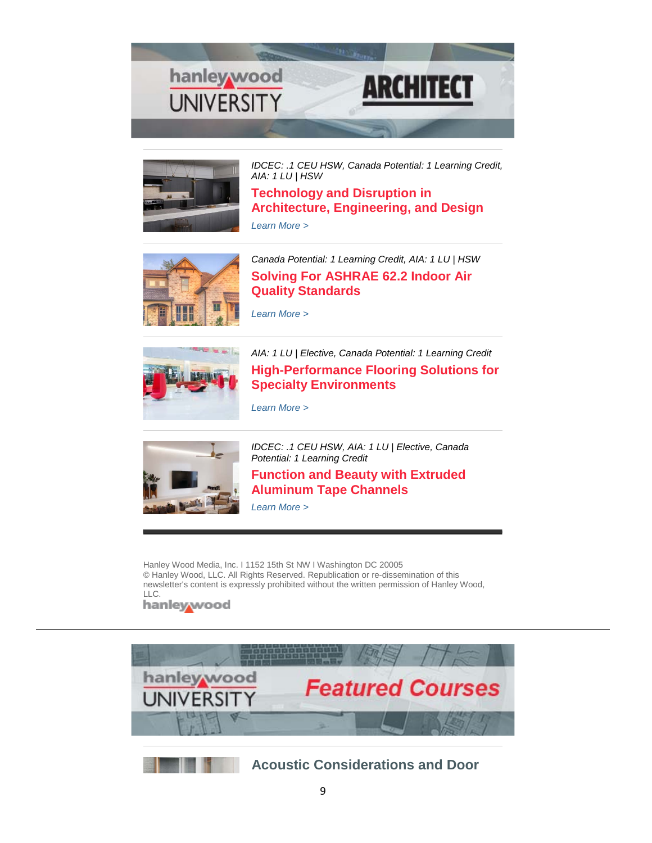



*[IDCEC: .1 CEU HSW, Canada Potential: 1 Learning Credit,](https://linkprotect.cudasvc.com/url?a=http%3a%2f%2fclick1.e.hanleywood-media.com%2fjnjzqjcnbrmwfmtjwthmjwcmmcwmrftzpbvbkpqrjqbbs_hvqcqmnzvcwfbwqsnn.html%3fa%3dbesnard%2540dzco.com%26b%3dHWU_EBMGHWUN721155_Update_Newsletter_092419%2b%2b&c=E,1,EPuvJj3BLvV7l-Wn101CaqJgpbW4D2aKcUxUVsgu1SwNWqr3_HmGpPSqXuFM1K55L7PUre0nqyUKw3v28K6a24SSTL908HBA2kmMMd_V6zdV_gPT&typo=1)  [AIA: 1 LU | HSW](https://linkprotect.cudasvc.com/url?a=http%3a%2f%2fclick1.e.hanleywood-media.com%2fjnjzqjcnbrmwfmtjwthmjwcmmcwmrftzpbvbkpqrjqbbs_hvqcqmnzvcwfbwqsnn.html%3fa%3dbesnard%2540dzco.com%26b%3dHWU_EBMGHWUN721155_Update_Newsletter_092419%2b%2b&c=E,1,EPuvJj3BLvV7l-Wn101CaqJgpbW4D2aKcUxUVsgu1SwNWqr3_HmGpPSqXuFM1K55L7PUre0nqyUKw3v28K6a24SSTL908HBA2kmMMd_V6zdV_gPT&typo=1)*

**[Technology and Disruption in](https://linkprotect.cudasvc.com/url?a=http%3a%2f%2fclick1.e.hanleywood-media.com%2fwjltnvkjdlsbzswvbwqsvbksskbslzwthdgdmhnlvnddd_hvqcqmnzvcwfbwqsnn.html%3fa%3dbesnard%2540dzco.com%26b%3dHWU_EBMGHWUN721155_Update_Newsletter_092419%2b%2b&c=E,1,DBb7BabrhVyBBvfQDu_EeRmgNH8NEZ7l_7EzHp4fy1PdwlgNE-s1sRq-4sO-qSWIezUjYFx-faBM0xhcNi_E-R03ujX_0y314fYEoUa15eZEKEpuJQdBZkZDnw,,&typo=1)  [Architecture, Engineering, and Design](https://linkprotect.cudasvc.com/url?a=http%3a%2f%2fclick1.e.hanleywood-media.com%2fwjltnvkjdlsbzswvbwqsvbksskbslzwthdgdmhnlvnddd_hvqcqmnzvcwfbwqsnn.html%3fa%3dbesnard%2540dzco.com%26b%3dHWU_EBMGHWUN721155_Update_Newsletter_092419%2b%2b&c=E,1,DBb7BabrhVyBBvfQDu_EeRmgNH8NEZ7l_7EzHp4fy1PdwlgNE-s1sRq-4sO-qSWIezUjYFx-faBM0xhcNi_E-R03ujX_0y314fYEoUa15eZEKEpuJQdBZkZDnw,,&typo=1)** *[Learn More >](https://linkprotect.cudasvc.com/url?a=http%3a%2f%2fclick1.e.hanleywood-media.com%2ffydcghtydsnwrnbhwbznhwtnntwnsrbcpdjdlpgshgdds_hvqcqmnzvcwfbwqsnn.html%3fa%3dbesnard%2540dzco.com%26b%3dHWU_EBMGHWUN721155_Update_Newsletter_092419%2b%2b&c=E,1,vvSiUdjhhTKXAFbCFgP6NTYc3vr8pLMYtuS5vgPuVQB1ia7CKqZZ9JZE792C0MsWqDQAhjAD0wuszKux6a0gvtkb7tPDCn1mYAk9SxzTtnQ,&typo=1)*



*[Canada Potential: 1 Learning Credit, AIA: 1 LU | HSW](https://linkprotect.cudasvc.com/url?a=http%3a%2f%2fclick1.e.hanleywood-media.com%2fxscnjhkcdvbtsbphtplbhtkbbktbvspnydrdqyjvhjddp_hvqcqmnzvcwfbwqsnn.html%3fa%3dbesnard%2540dzco.com%26b%3dHWU_EBMGHWUN721155_Update_Newsletter_092419%2b%2b&c=E,1,1pEfH7n_3dPVH3jQjO98ihwYigCzKS7EemAQsQFlAkblnT-UZnmHp6vBnFsa_0v949nwxLKOeZ4Lgrb7CIUCdmYE_9QrYSm3buP9ee1akIyO2s4,&typo=1)* **[Solving For ASHRAE 62.2 Indoor Air](https://linkprotect.cudasvc.com/url?a=http%3a%2f%2fclick1.e.hanleywood-media.com%2fummzpwvchqfsmfgwsgbfwsvffvsfqmgzjhnhkjpqwphhn_hvqcqmnzvcwfbwqsnn.html%3fa%3dbesnard%2540dzco.com%26b%3dHWU_EBMGHWUN721155_Update_Newsletter_092419%2b%2b&c=E,1,bUY14MKprXFiHr-_RT_s4cNG6ue3lGzzPYaV2m4BKLe20_YpFbq4mW_UQySxRg1df-IbVpRXpFKHYPbbxGB8Cv6husiq_O_asQ0-J71ROy8dpbsjJyPEFwBG&typo=1)  [Quality Standards](https://linkprotect.cudasvc.com/url?a=http%3a%2f%2fclick1.e.hanleywood-media.com%2fummzpwvchqfsmfgwsgbfwsvffvsfqmgzjhnhkjpqwphhn_hvqcqmnzvcwfbwqsnn.html%3fa%3dbesnard%2540dzco.com%26b%3dHWU_EBMGHWUN721155_Update_Newsletter_092419%2b%2b&c=E,1,bUY14MKprXFiHr-_RT_s4cNG6ue3lGzzPYaV2m4BKLe20_YpFbq4mW_UQySxRg1df-IbVpRXpFKHYPbbxGB8Cv6husiq_O_asQ0-J71ROy8dpbsjJyPEFwBG&typo=1)**



*[Learn More >](https://linkprotect.cudasvc.com/url?a=http%3a%2f%2fclick1.e.hanleywood-media.com%2fdsdldhzjtpmfsmrhfrkmhfzmmzfmpsrlbtctwbdphdttm_hvqcqmnzvcwfbwqsnn.html%3fa%3dbesnard%2540dzco.com%26b%3dHWU_EBMGHWUN721155_Update_Newsletter_092419%2b%2b&c=E,1,xgfhI0QrqK2pyV0GGqOf53L_wPOBpYXUI6Zq6jbfyRHvRqOK16vOdr5N2BVJkBY34djU7LCfgBftmts28lQaciTFNp2pSHR2l67X_NRxKXDDyf8,&typo=1)*

*[AIA: 1 LU | Elective, Canada Potential: 1 Learning Credit](https://linkprotect.cudasvc.com/url?a=http%3a%2f%2fclick1.e.hanleywood-media.com%2fyckpbqyvslgncgfqnfrgqnyggynglcfpwskstwblqbssc_hvqcqmnzvcwfbwqsnn.html%3fa%3dbesnard%2540dzco.com%26b%3dHWU_EBMGHWUN721155_Update_Newsletter_092419%2b%2b&c=E,1,NrIe-Q0aVGGASSDd_THzAiG8bd0um4ehYb6UXmUp9QSgSQzMb3WEhoIXIYLfL9okysiK5IkcS_OlyW-qvLiV60hn0MYicPJFK5swvSUvTBHPY-IuD7A3yPS2hDnK&typo=1)* **[High-Performance Flooring Solutions for](https://linkprotect.cudasvc.com/url?a=http%3a%2f%2fclick1.e.hanleywood-media.com%2fpdyrcjwvhqlbdlyjbytljbwllwblqdyrghmhkgcqjchhv_hvqcqmnzvcwfbwqsnn.html%3fa%3dbesnard%2540dzco.com%26b%3dHWU_EBMGHWUN721155_Update_Newsletter_092419%2b%2b&c=E,1,7sk-tFULulBGhoVSDlXT_E0lu4HcvQFqVzfguUPgXkrA1bfgtWQCgFhh5G2-glnygL7dS5YBCwVqnzKHJGnSCqXV3PqZW8I7WRHCn1LbCx8rApCECNn_XK0,&typo=1)  [Specialty Environments](https://linkprotect.cudasvc.com/url?a=http%3a%2f%2fclick1.e.hanleywood-media.com%2fpdyrcjwvhqlbdlyjbytljbwllwblqdyrghmhkgcqjchhv_hvqcqmnzvcwfbwqsnn.html%3fa%3dbesnard%2540dzco.com%26b%3dHWU_EBMGHWUN721155_Update_Newsletter_092419%2b%2b&c=E,1,7sk-tFULulBGhoVSDlXT_E0lu4HcvQFqVzfguUPgXkrA1bfgtWQCgFhh5G2-glnygL7dS5YBCwVqnzKHJGnSCqXV3PqZW8I7WRHCn1LbCx8rApCECNn_XK0,&typo=1)**

*[Learn More >](https://linkprotect.cudasvc.com/url?a=http%3a%2f%2fclick1.e.hanleywood-media.com%2ffnscghtydsnwrnbhwbznhwtnntwnsrbcpdjdlpgshgdsq_hvqcqmnzvcwfbwqsnn.html%3fa%3dbesnard%2540dzco.com%26b%3dHWU_EBMGHWUN721155_Update_Newsletter_092419%2b%2b&c=E,1,hWYdr3-CvEwZek_icG1VC3CWfTO4WbEaM_OPVovti-ZqZ36p0XzqmQfVEWh60VtoJTpNendqv8kZS2giCRAI6vvSkfAC_84u2u1r7EvUexG1EQ,,&typo=1)*



*[IDCEC: .1 CEU HSW, AIA: 1 LU | Elective, Canada](https://linkprotect.cudasvc.com/url?a=http%3a%2f%2fclick1.e.hanleywood-media.com%2fhwnlhbjfvqwzmwsbzsrwbzjwwjzwqmsldvcvpdhqbhvqq_hvqcqmnzvcwfbwqsnn.html%3fa%3dbesnard%2540dzco.com%26b%3dHWU_EBMGHWUN721155_Update_Newsletter_092419%2b%2b&c=E,1,tr-RjG4q0-IHgrzdmd7TNXS9Mp4McLqaYg2O4Cegq7Xdup3E2l-YYwrd9KDiWM1g_GwJtOtutDbxsjO2LFebl3SubPMJm8mp_zlCumM5uWXgXHjPig,,&typo=1)  [Potential: 1 Learning Credit](https://linkprotect.cudasvc.com/url?a=http%3a%2f%2fclick1.e.hanleywood-media.com%2fhwnlhbjfvqwzmwsbzsrwbzjwwjzwqmsldvcvpdhqbhvqq_hvqcqmnzvcwfbwqsnn.html%3fa%3dbesnard%2540dzco.com%26b%3dHWU_EBMGHWUN721155_Update_Newsletter_092419%2b%2b&c=E,1,tr-RjG4q0-IHgrzdmd7TNXS9Mp4McLqaYg2O4Cegq7Xdup3E2l-YYwrd9KDiWM1g_GwJtOtutDbxsjO2LFebl3SubPMJm8mp_zlCumM5uWXgXHjPig,,&typo=1)*

#### **[Function and Beauty with Extruded](https://linkprotect.cudasvc.com/url?a=http%3a%2f%2fclick1.e.hanleywood-media.com%2fxrcnjhkcdvbtsbphtplbhtkbbktbvspnydrdqyjvhjdvh_hvqcqmnzvcwfbwqsnn.html%3fa%3dbesnard%2540dzco.com%26b%3dHWU_EBMGHWUN721155_Update_Newsletter_092419%2b%2b&c=E,1,wq83XeZrdOApzXBsBExriUejcBk_kWxdbVtxbF52dHr87qEqh41be-ma8Qj78XA65udo_32KcjGdYFMOI2Jc0s2umUALmZ60SQJL9nwanC0K6QM,&typo=1)  [Aluminum Tape Channels](https://linkprotect.cudasvc.com/url?a=http%3a%2f%2fclick1.e.hanleywood-media.com%2fxrcnjhkcdvbtsbphtplbhtkbbktbvspnydrdqyjvhjdvh_hvqcqmnzvcwfbwqsnn.html%3fa%3dbesnard%2540dzco.com%26b%3dHWU_EBMGHWUN721155_Update_Newsletter_092419%2b%2b&c=E,1,wq83XeZrdOApzXBsBExriUejcBk_kWxdbVtxbF52dHr87qEqh41be-ma8Qj78XA65udo_32KcjGdYFMOI2Jc0s2umUALmZ60SQJL9nwanC0K6QM,&typo=1)**

*[Learn More >](https://linkprotect.cudasvc.com/url?a=http%3a%2f%2fclick1.e.hanleywood-media.com%2fbgbscfvzplqybqjfyjkqfyvqqvyqlbjsnpgpmnclfcplj_hvqcqmnzvcwfbwqsnn.html%3fa%3dbesnard%2540dzco.com%26b%3dHWU_EBMGHWUN721155_Update_Newsletter_092419%2b%2b&c=E,1,sPq8rUrJ9zT_fsI50cWxXOzNldaH89YBSgsbqKMQERelHSPzCk1TzNztHhV4K6ABjmJjhxnS2xAMYpscPSOAD7v-TBHHC6B2_NTt8u-VmQJw1w,,&typo=1)*

Hanley Wood Media, Inc. I 1152 15th St NW I Washington DC 20005 © Hanley Wood, LLC. All Rights Reserved. Republication or re-dissemination of this newsletter's content is expressly prohibited without the written permission of Hanley Wood, LLC.

hanley wood



**[Acoustic Considerations and Door](https://linkprotect.cudasvc.com/url?a=http%3a%2f%2fclick1.e.hanleywood-media.com%2ferzvzyjqrshfphtyftlhyfjhhjfhsptvcrbrwczsyrzqp_hsmcqmnzvcwfqshqnn.html%3fa%3dbesnard%2540dzco.com%26b%3dHWU_EBMGHWUN721155_Update_Newsletter_092319%2b%2b&c=E,1,DYAZIQ8aIIt4p_3SSwTMJCTyObeajYLagD2k4wM9gjugQQSGksbDaSYEpqMj9w0Ltfk-3BHNM8n4tpHjQ0CSQl-UkT6BKjLDOi6bJUWjERDEge53vzR0QNI,&typo=1)**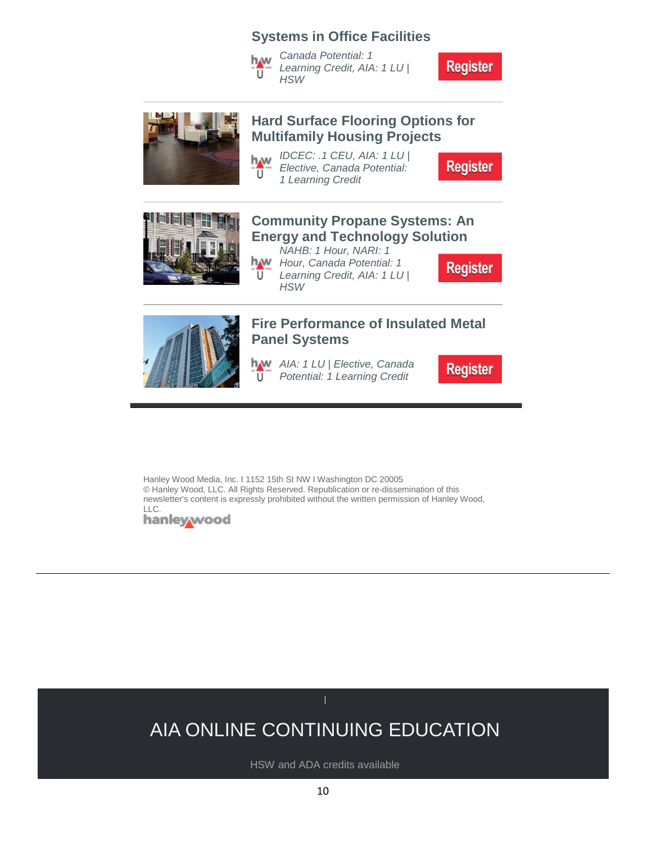#### **Systems in Office Facilities**

*Canada Potential: 1*  hw *Learning Credit, AIA: 1 LU |*  Ш *HSW*

**Register** 



#### **[Hard Surface Flooring Options for](https://linkprotect.cudasvc.com/url?a=http%3a%2f%2fclick1.e.hanleywood-media.com%2fetsvzyjqrshfphtyftlhyfjhhjfhsptvcrbrwczsyrpdr_hsmcqmnzvcwfqshqnn.html%3fa%3dbesnard%2540dzco.com%26b%3dHWU_EBMGHWUN721155_Update_Newsletter_092319%2b%2b&c=E,1,T2eskNTUQQuPt7S2j2DiSzTKFOxPLe4pPghGRc_F82CWrn9GAPETgcuu8edfw2DmUU7lMhqGCl_rzQ0Ylbq4k5UvDRDfIv4y1Hu-GqQHB66_mTk,&typo=1)  [Multifamily Housing Projects](https://linkprotect.cudasvc.com/url?a=http%3a%2f%2fclick1.e.hanleywood-media.com%2fetsvzyjqrshfphtyftlhyfjhhjfhsptvcrbrwczsyrpdr_hsmcqmnzvcwfqshqnn.html%3fa%3dbesnard%2540dzco.com%26b%3dHWU_EBMGHWUN721155_Update_Newsletter_092319%2b%2b&c=E,1,T2eskNTUQQuPt7S2j2DiSzTKFOxPLe4pPghGRc_F82CWrn9GAPETgcuu8edfw2DmUU7lMhqGCl_rzQ0Ylbq4k5UvDRDfIv4y1Hu-GqQHB66_mTk,&typo=1)**

*IDCEC: .1 CEU, AIA: 1 LU |*  h w *Elective, Canada Potential:*  Ū *1 Learning Credit*

**Register** 



#### **[Community Propane Systems: An](https://linkprotect.cudasvc.com/url?a=http%3a%2f%2fclick1.e.hanleywood-media.com%2fkmpbdmwplhsjfsrmjrksmjwsswjshfrbzlvlqzdhmlftr_hsmcqmnzvcwfqshqnn.html%3fa%3dbesnard%2540dzco.com%26b%3dHWU_EBMGHWUN721155_Update_Newsletter_092319%2b%2b&c=E,1,bWgIcFtkhH302O3wwEQspKrXpCqiZBAjnJrRytd2iKp7WI3rufC7qQ3JysboqEZXjpPxdDO7ZLhSb7W0rAoRGlZmD-7RHYD8ZwNnnf22jGj0kiNiBGynEqc,&typo=1)  [Energy and Technology Solution](https://linkprotect.cudasvc.com/url?a=http%3a%2f%2fclick1.e.hanleywood-media.com%2fkmpbdmwplhsjfsrmjrksmjwsswjshfrbzlvlqzdhmlftr_hsmcqmnzvcwfqshqnn.html%3fa%3dbesnard%2540dzco.com%26b%3dHWU_EBMGHWUN721155_Update_Newsletter_092319%2b%2b&c=E,1,bWgIcFtkhH302O3wwEQspKrXpCqiZBAjnJrRytd2iKp7WI3rufC7qQ3JysboqEZXjpPxdDO7ZLhSb7W0rAoRGlZmD-7RHYD8ZwNnnf22jGj0kiNiBGynEqc,&typo=1)**

*NAHB: 1 Hour, NARI: 1 Hour, Canada Potential: 1*   $\overline{U}$ *Learning Credit, AIA: 1 LU | HSW*

**Register** 



# **[Panel Systems](https://linkprotect.cudasvc.com/url?a=http%3a%2f%2fclick1.e.hanleywood-media.com%2fyqgpbqyvslgncgfqnfrgqnyggynglcfpwskstwblqscmb_hsmcqmnzvcwfqshqnn.html%3fa%3dbesnard%2540dzco.com%26b%3dHWU_EBMGHWUN721155_Update_Newsletter_092319%2b%2b&c=E,1,mxriwWjVCX526W-s4TGQZxt5Hyr8IW-J4GU5N7lCdszDWRxZO3zH7OrQS2aKoak9rBjaXxucNQxY-9EVICRJXIU8bcfPEUcLGcTuxvVICmKp7ipKOg,,&typo=1)**

**[Fire Performance of Insulated Metal](https://linkprotect.cudasvc.com/url?a=http%3a%2f%2fclick1.e.hanleywood-media.com%2fyqgpbqyvslgncgfqnfrgqnyggynglcfpwskstwblqscmb_hsmcqmnzvcwfqshqnn.html%3fa%3dbesnard%2540dzco.com%26b%3dHWU_EBMGHWUN721155_Update_Newsletter_092319%2b%2b&c=E,1,mxriwWjVCX526W-s4TGQZxt5Hyr8IW-J4GU5N7lCdszDWRxZO3zH7OrQS2aKoak9rBjaXxucNQxY-9EVICRJXIU8bcfPEUcLGcTuxvVICmKp7ipKOg,,&typo=1)** 

*AIA: 1 LU | Elective, Canada Potential: 1 Learning Credit* U

**Register** 

Hanley Wood Media, Inc. I 1152 15th St NW I Washington DC 20005 © Hanley Wood, LLC. All Rights Reserved. Republication or re-dissemination of this newsletter's content is expressly prohibited without the written permission of Hanley Wood,

LLC.<br>**hanley/wood** 

# AIA ONLINE CONTINUING EDUCATION

HSW and ADA credits available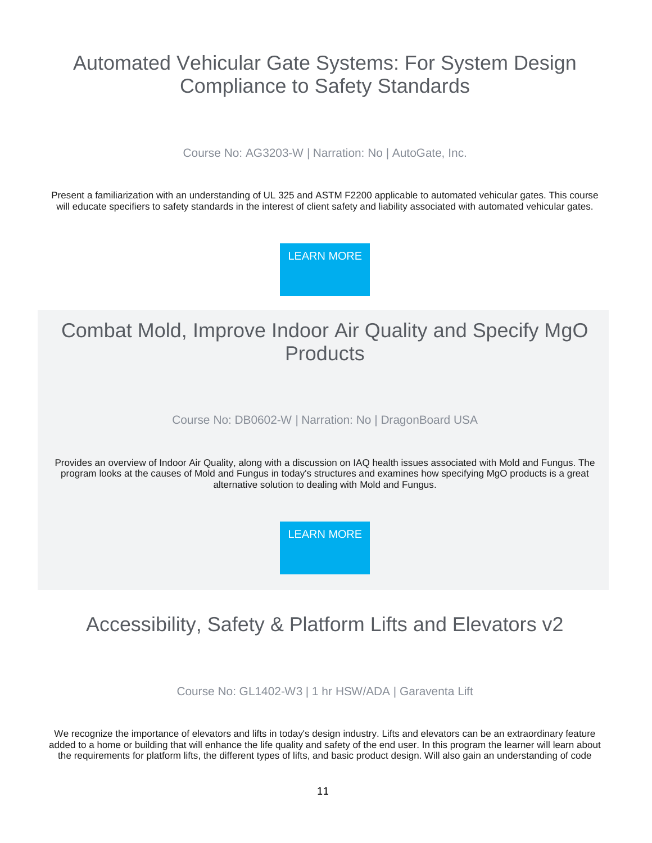### Automated Vehicular Gate Systems: For System Design Compliance to Safety Standards

Course No: AG3203-W | Narration: No | AutoGate, Inc.

Present a familiarization with an understanding of UL 325 and ASTM F2200 applicable to automated vehicular gates. This course will educate specifiers to safety standards in the interest of client safety and liability associated with automated vehicular gates.

[LEARN MORE](https://linkprotect.cudasvc.com/url?a=http%3a%2f%2fnewsletter.architect-forum.com%3a8080%2ft.aspx%3fS%3d1%26ID%3d4720%26NL%3d2%26N%3d2181%26SI%3d2271%26URL%3dhttp%253a%252f%252flms.architect-forum.com%252fsubscribe.php%253fcourse_id%253d252&c=E,1,KtCZMqfYfglcc8eF-ncOkr1bc5aDMC-TDrQ2Tgc0nshLMjIpKOjZgVnQja2U6VqfImUP3Z8lkK6rr8Enl7ojShgzsb-6kiFUbcI-ipO3bb7OS54,&typo=1)

### Combat Mold, Improve Indoor Air Quality and Specify MgO **Products**

Course No: DB0602-W | Narration: No | DragonBoard USA

Provides an overview of Indoor Air Quality, along with a discussion on IAQ health issues associated with Mold and Fungus. The program looks at the causes of Mold and Fungus in today's structures and examines how specifying MgO products is a great alternative solution to dealing with Mold and Fungus.

[LEARN MORE](https://linkprotect.cudasvc.com/url?a=http%3a%2f%2fnewsletter.architect-forum.com%3a8080%2ft.aspx%3fS%3d1%26ID%3d4720%26NL%3d2%26N%3d2181%26SI%3d2271%26URL%3dhttp%253a%252f%252flms.architect-forum.com%252fsubscribe.php%253fcourse_id%253d256&c=E,1,YQdJhIdww2FpOC0E7lJcWsZ5Igz1RbtTFsk95tzrgxXroElBJoqf3QXX3MzFO4hQ9Hehjhw76ZQJb2mOaSekEksAOXijHRSVJmKDyva9H0tHrhVmtx4b&typo=1)

### Accessibility, Safety & Platform Lifts and Elevators v2

Course No: GL1402-W3 | 1 hr HSW/ADA | Garaventa Lift

We recognize the importance of elevators and lifts in today's design industry. Lifts and elevators can be an extraordinary feature added to a home or building that will enhance the life quality and safety of the end user. In this program the learner will learn about the requirements for platform lifts, the different types of lifts, and basic product design. Will also gain an understanding of code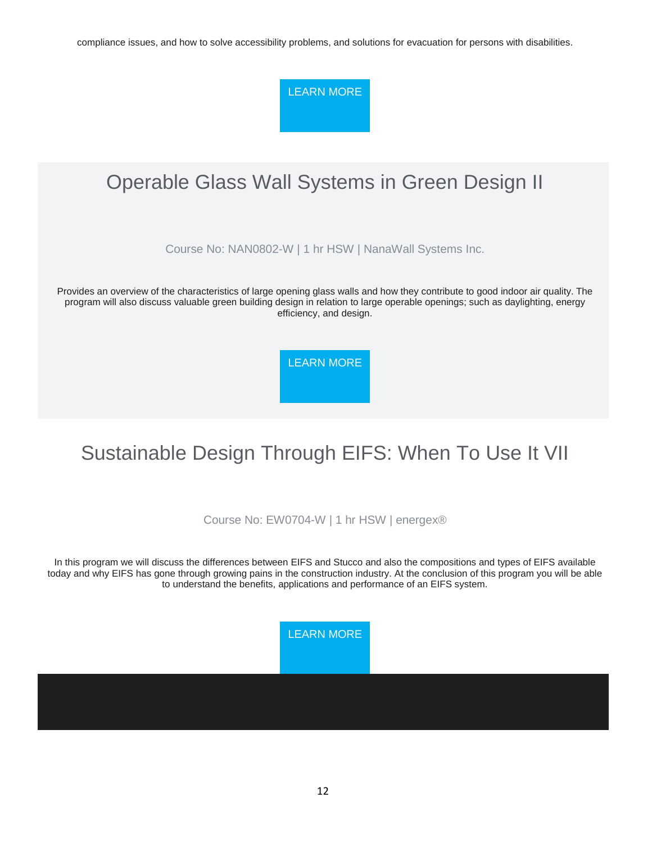compliance issues, and how to solve accessibility problems, and solutions for evacuation for persons with disabilities.

[LEARN MORE](https://linkprotect.cudasvc.com/url?a=http%3a%2f%2fnewsletter.architect-forum.com%3a8080%2ft.aspx%3fS%3d1%26ID%3d4720%26NL%3d2%26N%3d2181%26SI%3d2271%26URL%3dhttp%253a%252f%252flms.architect-forum.com%252fsubscribe.php%253fcourse_id%253d272&c=E,1,RK7PmCQtRkh3yiJfdS8sZ0fvwat3gpAyFj0KVdnlke1vIRbm9Cp5DZdQHl4cca1Jw7daZA143NaqCjVEhxtDrSH3uS5CyXYYwXKcu8M7LfcWO1h1&typo=1)

# Operable Glass Wall Systems in Green Design II

Course No: NAN0802-W | 1 hr HSW | NanaWall Systems Inc.

Provides an overview of the characteristics of large opening glass walls and how they contribute to good indoor air quality. The program will also discuss valuable green building design in relation to large operable openings; such as daylighting, energy efficiency, and design.

[LEARN MORE](https://linkprotect.cudasvc.com/url?a=http%3a%2f%2fnewsletter.architect-forum.com%3a8080%2ft.aspx%3fS%3d1%26ID%3d4720%26NL%3d2%26N%3d2181%26SI%3d2271%26URL%3dhttp%253a%252f%252flms.architect-forum.com%252fsubscribe.php%253fcourse_id%253d262&c=E,1,MF6xD1_jYCypzNTQ07BjTtnohUnKomv9gA5Y_xNRDCDz1pGn72pxCd0EWUwmPNEpMtLJUh02SuHEvYEgdwZbFgt1RfHhgE9kadTgNGaZfwiG8w,,&typo=1)

# Sustainable Design Through EIFS: When To Use It VII

Course No: EW0704-W | 1 hr HSW | energex®

In this program we will discuss the differences between EIFS and Stucco and also the compositions and types of EIFS available today and why EIFS has gone through growing pains in the construction industry. At the conclusion of this program you will be able to understand the benefits, applications and performance of an EIFS system.

[LEARN MORE](https://linkprotect.cudasvc.com/url?a=http%3a%2f%2fnewsletter.architect-forum.com%3a8080%2ft.aspx%3fS%3d1%26ID%3d4720%26NL%3d2%26N%3d2181%26SI%3d2271%26URL%3dhttp%253a%252f%252flms.architect-forum.com%252fsubscribe.php%253fcourse_id%253d255&c=E,1,rpBM_tDAo4HpAZV-kiuZXk70cESKjYQmZg0SbFxFNHYkPZJp7vc2d5vE7Qphn9sYBHXQFaQeTOG0e9o3du2K-IqkONs1iPyWE-5-Gex05jSFmeCmv2w,&typo=1)